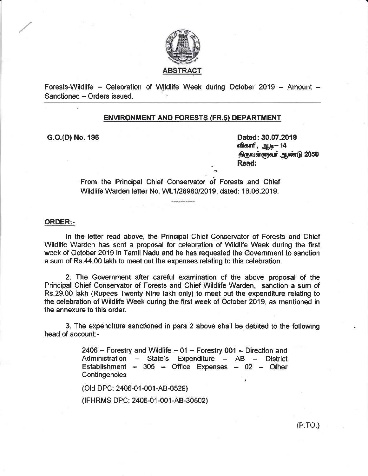

Forests-Wildlife  $-$  Celebration of Wildlife Week during October 2019  $-$  Amount  $-$ Sanctioned - Orders issued.

### ENVIRONMENT AND FORESTS (FR.s) DEPARTMENT

G.O.(D) No. 196 **Dated:** 30.07.2019 விகாரி, ஆடி— 14 திருவள்ளுவர் ஆண்டு 2050 Read:

> From the Principal Chiet Conservator of Forests and Chief Wildlife Warden letter No. WL1/28980/2019, dated: 18.06.2019.

#### 0RDER:-

ln the letter read above, the Principal Chief Conservator of Forests and Chief Wildlife Warden has sent a proposal for celebration of Wildlife Week during the first week of October 2019 in Tamil Nadu and he has requested the Government to sanction a sum of Rs.44.00 lakh to meet out the expenses relating to this celebration.

2. The Government after careful examination of the above proposal of the Principal Chief Conservator of Forests and Chief Wildlife Warden, sanction a sum of Rs.29.00 lakh (Rupees Twenty Nlne lakh only) to meet out the expenditure relating to the celebration of Wildlife Week during the first week of October 2019, as mentioned in the annexure to this orden.

3. The expendlture sanctioned in para 2 above shall be debited to the following head of account:-

> $2406$  – Forestry and Wildlife – 01 – Forestry 001 – Direction and Administration  $-$  State's Expenditure  $-$  AB  $-$  District Establishment - 305 - Office Expenses - 02 - Other Contingencies

(OId DPC: 2406-01 -001 -AB-0529)

(IFHRMS DPC: 2406-01-001-AB-30502)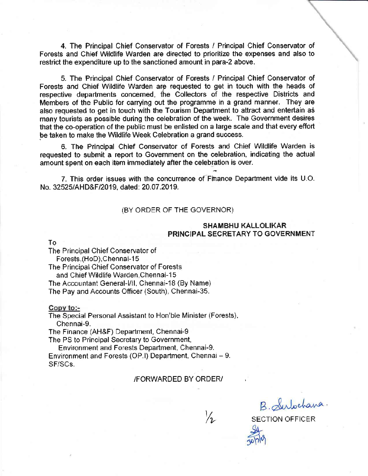4. The Principal Chief Conservator of Forests / Principal Chief Conservator of Forests and Chief Wildlife Warden are directed to prioritize the expenses and also to restrict the expenditure up to the sanctioned amount in para-2 above.

5. The Principal Chief Conservator of Forests / Principal Chief Conservator of Forests and Chief Wildlife Warden are requested to get in touch with the heads of respective departments concerned, the Collectors of the respective Districts and Members of the Public for carrying out the programme in a grand manner. They are also requested to get in touch with the Tourism Department to attract and entertain as many tourists as possible during the celebration of the week. The Government desires that the co-operation of the public must be enlisted on a large scale and that every effort be taken to make the Wildlife Week Celebration a grand success.

6. The Principal Chief Conservator of Forests and Chief Wildlife Warden is requested to submit a report to Government on the celebration, indicating the actual amount spent on each item immediately after the celebration is over.

7. This order issues with the concurrence of Finance Department vide its U.O. No. 32525/AHD&F/2019, dated: 20.07.2019.

### (BY ORDER OF THE GOVERNOR)

### **SHAMBHU KALLOLIKAR PRINCIPAL SECRETARY TO GOVERNMENT**

Τo

The Principal Chief Conservator of Forests.(HoD).Chennai-15

The Principal Chief Conservator of Forests and Chief Wildlife Warden, Chennai-15

The Accountant General-I/II, Chennai-18 (By Name)

The Pay and Accounts Officer (South), Chennai-35.

Copy to:-

The Special Personal Assistant to Hon'ble Minister (Forests), Chennai-9.

The Finance (AH&F) Department, Chennai-9

The PS to Principal Secretary to Government,

Environment and Forests Department, Chennai-9. Environment and Forests (OP.I) Department, Chennai - 9. SF/SCs.

#### /FORWARDED BY ORDER/

 $\frac{1}{2}$ 

B. Subochana.

**SECTION OFFICER**